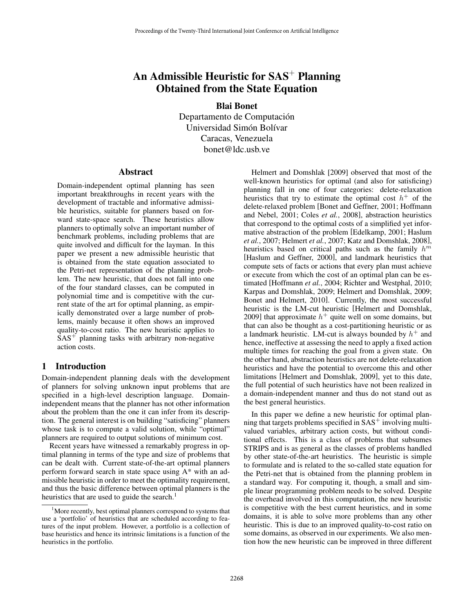# An Admissible Heuristic for  $SAS<sup>+</sup>$  Planning Obtained from the State Equation

Blai Bonet Departamento de Computación Universidad Simón Bolívar Caracas, Venezuela bonet@ldc.usb.ve

#### **Abstract**

Domain-independent optimal planning has seen important breakthroughs in recent years with the development of tractable and informative admissible heuristics, suitable for planners based on forward state-space search. These heuristics allow planners to optimally solve an important number of benchmark problems, including problems that are quite involved and difficult for the layman. In this paper we present a new admissible heuristic that is obtained from the state equation associated to the Petri-net representation of the planning problem. The new heuristic, that does not fall into one of the four standard classes, can be computed in polynomial time and is competitive with the current state of the art for optimal planning, as empirically demonstrated over a large number of problems, mainly because it often shows an improved quality-to-cost ratio. The new heuristic applies to  $SAS<sup>+</sup>$  planning tasks with arbitrary non-negative action costs.

# 1 Introduction

Domain-independent planning deals with the development of planners for solving unknown input problems that are specified in a high-level description language. Domainindependent means that the planner has not other information about the problem than the one it can infer from its description. The general interest is on building "satisficing" planners whose task is to compute a valid solution, while "optimal" planners are required to output solutions of minimum cost.

Recent years have witnessed a remarkably progress in optimal planning in terms of the type and size of problems that can be dealt with. Current state-of-the-art optimal planners perform forward search in state space using A\* with an admissible heuristic in order to meet the optimality requirement, and thus the basic difference between optimal planners is the heuristics that are used to guide the search. $<sup>1</sup>$ </sup>

Helmert and Domshlak [2009] observed that most of the well-known heuristics for optimal (and also for satisficing) planning fall in one of four categories: delete-relaxation heuristics that try to estimate the optimal cost  $h^+$  of the delete-relaxed problem [Bonet and Geffner, 2001; Hoffmann and Nebel, 2001; Coles *et al.*, 2008], abstraction heuristics that correspond to the optimal costs of a simplified yet informative abstraction of the problem [Edelkamp, 2001; Haslum *et al.*, 2007; Helmert *et al.*, 2007; Katz and Domshlak, 2008], heuristics based on critical paths such as the family  $h^m$ [Haslum and Geffner, 2000], and landmark heuristics that compute sets of facts or actions that every plan must achieve or execute from which the cost of an optimal plan can be estimated [Hoffmann *et al.*, 2004; Richter and Westphal, 2010; Karpas and Domshlak, 2009; Helmert and Domshlak, 2009; Bonet and Helmert, 2010]. Currently, the most successful heuristic is the LM-cut heuristic [Helmert and Domshlak, 2009] that approximate  $h^+$  quite well on some domains, but that can also be thought as a cost-partitioning heuristic or as a landmark heuristic. LM-cut is always bounded by  $h^+$  and hence, ineffective at assessing the need to apply a fixed action multiple times for reaching the goal from a given state. On the other hand, abstraction heuristics are not delete-relaxation heuristics and have the potential to overcome this and other limitations [Helmert and Domshlak, 2009], yet to this date, the full potential of such heuristics have not been realized in a domain-independent manner and thus do not stand out as the best general heuristics.

In this paper we define a new heuristic for optimal planning that targets problems specified in  $SAS<sup>+</sup>$  involving multivalued variables, arbitrary action costs, but without conditional effects. This is a class of problems that subsumes STRIPS and is as general as the classes of problems handled by other state-of-the-art heuristics. The heuristic is simple to formulate and is related to the so-called state equation for the Petri-net that is obtained from the planning problem in a standard way. For computing it, though, a small and simple linear programming problem needs to be solved. Despite the overhead involved in this computation, the new heuristic is competitive with the best current heuristics, and in some domains, it is able to solve more problems than any other heuristic. This is due to an improved quality-to-cost ratio on some domains, as observed in our experiments. We also mention how the new heuristic can be improved in three different

<sup>&</sup>lt;sup>1</sup>More recently, best optimal planners correspond to systems that use a 'portfolio' of heuristics that are scheduled according to features of the input problem. However, a portfolio is a collection of base heuristics and hence its intrinsic limitations is a function of the heuristics in the portfolio.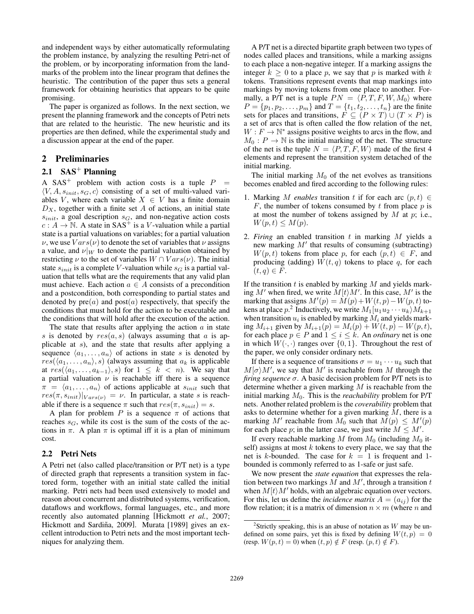and independent ways by either automatically reformulating the problem instance, by analyzing the resulting Petri-net of the problem, or by incorporating information from the landmarks of the problem into the linear program that defines the heuristic. The contribution of the paper thus sets a general framework for obtaining heuristics that appears to be quite promising.

The paper is organized as follows. In the next section, we present the planning framework and the concepts of Petri nets that are related to the heuristic. The new heuristic and its properties are then defined, while the experimental study and a discussion appear at the end of the paper.

# 2 Preliminaries

# 2.1  $SAS<sup>+</sup>$  Planning

A SAS<sup>+</sup> problem with action costs is a tuple  $P =$  $\langle V, A, s_{init}, s_G, c \rangle$  consisting of a set of multi-valued variables V, where each variable  $X \in V$  has a finite domain  $D_X$ , together with a finite set A of actions, an initial state  $s_{init}$ , a goal description  $s_G$ , and non-negative action costs  $c : A \to \mathbb{N}$ . A state in SAS<sup>+</sup> is a *V*-valuation while a partial state is a partial valuations on variables; for a partial valuation  $\nu$ , we use  $Vars(\nu)$  to denote the set of variables that  $\nu$  assigns a value, and  $\nu|_W$  to denote the partial valuation obtained by restricting  $\nu$  to the set of variables  $W \cap Vars(\nu)$ . The initial state  $s_{init}$  is a complete V-valuation while  $s_G$  is a partial valuation that tells what are the requirements that any valid plan must achieve. Each action  $a \in A$  consists of a precondition and a postcondition, both corresponding to partial states and denoted by  $pre(a)$  and  $post(a)$  respectively, that specify the conditions that must hold for the action to be executable and the conditions that will hold after the execution of the action.

The state that results after applying the action  $a$  in state s is denoted by  $res(a, s)$  (always assuming that a is applicable at s), and the state that results after applying a sequence  $\langle a_1, \ldots, a_n \rangle$  of actions in state s is denoted by  $res(\langle a_1, \ldots, a_n \rangle, s)$  (always assuming that  $a_k$  is applicable at  $res(\langle a_1, \ldots, a_{k-1} \rangle, s)$  for  $1 \leq k < n$ ). We say that a partial valuation  $\nu$  is reachable iff there is a sequence  $\pi = \langle a_1, \ldots, a_n \rangle$  of actions applicable at  $s_{init}$  such that  $res(\pi, s_{init})|_{Vars(\nu)} = \nu$ . In particular, a state s is reachable if there is a sequence  $\pi$  such that  $res(\pi, s_{init}) = s$ .

A plan for problem P is a sequence  $\pi$  of actions that reaches  $s_G$ , while its cost is the sum of the costs of the actions in  $\pi$ . A plan  $\pi$  is optimal iff it is a plan of minimum cost.

#### 2.2 Petri Nets

A Petri net (also called place/transition or P/T net) is a type of directed graph that represents a transition system in factored form, together with an initial state called the initial marking. Petri nets had been used extensively to model and reason about concurrent and distributed systems, verification, dataflows and workflows, formal languages, etc., and more recently also automated planning [Hickmott *et al.*, 2007; Hickmott and Sardiña, 2009]. Murata [1989] gives an excellent introduction to Petri nets and the most important techniques for analyzing them.

A P/T net is a directed bipartite graph between two types of nodes called places and transitions, while a marking assigns to each place a non-negative integer. If a marking assigns the integer  $k \geq 0$  to a place p, we say that p is marked with k tokens. Transitions represent events that map markings into markings by moving tokens from one place to another. Formally, a P/T net is a tuple  $PN = \langle P, T, F, W, M_0 \rangle$  where  $P = \{p_1, p_2, \dots, p_m\}$  and  $T = \{t_1, t_2, \dots, t_n\}$  are the finite sets for places and transitions,  $F \subseteq (P \times T) \cup (T \times P)$  is a set of arcs that is often called the flow relation of the net,  $W : F \to \mathbb{N}^*$  assigns positive weights to arcs in the flow, and  $M_0: P \to \mathbb{N}$  is the initial marking of the net. The structure of the net is the tuple  $N = \langle P, T, F, W \rangle$  made of the first 4 elements and represent the transition system detached of the initial marking.

The initial marking  $M_0$  of the net evolves as transitions becomes enabled and fired according to the following rules:

- 1. Marking M *enables* transition t if for each arc  $(p, t) \in$ F, the number of tokens consumed by t from place  $p$  is at most the number of tokens assigned by  $M$  at  $p$ ; i.e.,  $W(p,t) \leq M(p).$
- 2. *Firing* an enabled transition t in marking M yields a new marking  $M'$  that results of consuming (subtracting)  $W(p, t)$  tokens from place p, for each  $(p, t) \in F$ , and producing (adding)  $W(t, q)$  tokens to place q, for each  $(t, q) \in F$ .

If the transition  $t$  is enabled by marking  $M$  and yields marking  $M'$  when fired, we write  $M(t)M'$ . In this case,  $M'$  is the marking that assigns  $M'(p) = M(p) + W(t, p) - W(p, t)$  tokens at place  $p$ .<sup>2</sup> Inductively, we write  $M_1[u_1u_2\cdots u_k\rangle M_{k+1}$ when transition  $u_i$  is enabled by marking  $M_i$  and yields marking  $M_{i+1}$  given by  $M_{i+1}(p) = M_i(p) + W(t, p) - W(p, t)$ , for each place  $p \in P$  and  $1 \leq i \leq k$ . An *ordinary* net is one in which  $W(\cdot, \cdot)$  ranges over  $\{0, 1\}$ . Throughout the rest of the paper, we only consider ordinary nets.

If there is a sequence of transitions  $\sigma = u_1 \cdots u_k$  such that  $M[\sigma\rangle M'$ , we say that M' is reachable from M through the *firing sequence* σ. A basic decision problem for P/T nets is to determine whether a given marking  $M$  is reachable from the initial marking  $M_0$ . This is the *reachability* problem for P/T nets. Another related problem is the *coverability* problem that asks to determine whether for a given marking  $M$ , there is a marking M' reachable from  $M_0$  such that  $M(p) \leq M'(p)$ for each place p; in the latter case, we just write  $M \le M'$ .

If every reachable marking M from  $M_0$  (including  $M_0$  itself) assigns at most  $k$  tokens to every place, we say that the net is k-bounded. The case for  $k = 1$  is frequent and 1bounded is commonly referred to as 1-safe or just safe.

We now present the *state equation* that expresses the relation between two markings  $M$  and  $M'$ , through a transition  $t$ when  $M(t)M'$  holds, with an algebraic equation over vectors. For this, let us define the *incidence matrix*  $A = (a_{ij})$  for the flow relation; it is a matrix of dimension  $n \times m$  (where n and

<sup>&</sup>lt;sup>2</sup>Strictly speaking, this is an abuse of notation as  $W$  may be undefined on some pairs, yet this is fixed by defining  $W(t, p) = 0$ (resp.  $W(p, t) = 0$ ) when  $(t, p) \notin F$  (resp.  $(p, t) \notin F$ ).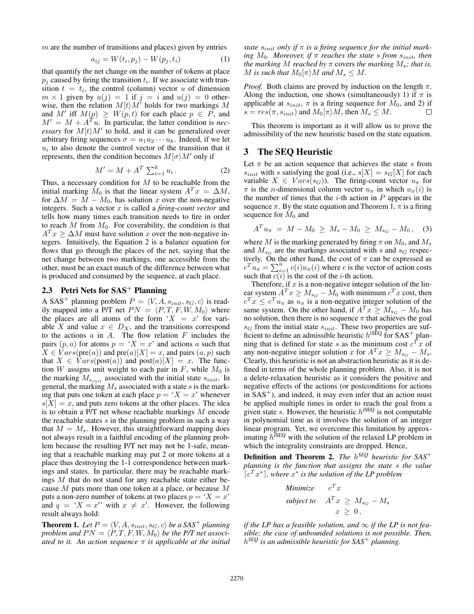$m$  are the number of transitions and places) given by entries

$$
a_{ij} = W(t_i, p_j) - W(p_j, t_i)
$$
\n<sup>(1)</sup>

that quantify the net change on the number of tokens at place  $p_i$  caused by firing the transition  $t_i$ . If we associate with transition  $t = t_i$ , the control (column) vector u of dimension  $m \times 1$  given by  $u(j)=1$  if  $j=i$  and  $u(j)=0$  otherwise, then the relation  $M[t\rangle M'$  holds for two markings M and M' iff  $M(p) \geq W(p, t)$  for each place  $p \in P$ , and  $M' = M + A^{T} u$ . In particular, the latter condition is *necessary* for  $M(t)M'$  to hold, and it can be generalized over arbitrary firing sequences  $\sigma = u_1 u_2 \cdots u_k$ . Indeed, if we let  $u_i$  to also denote the control vector of the transition that it represents, then the condition becomes  $M(\sigma)M'$  only if

$$
M' = M + A^T \sum_{i=1}^{k} u_i.
$$
 (2)

Thus, a necessary condition for  $M$  to be reachable from the initial marking  $M_0$  is that the linear system  $A^T x = \Delta M$ , for  $\Delta M = M - M_0$ , has solution x over the non-negative integers. Such a vector x is called a *firing-count vector* and tells how many times each transition needs to fire in order to reach  $M$  from  $M_0$ . For coverability, the condition is that  $A<sup>T</sup> x \ge \Delta M$  must have solution x over the non-negative integers. Intuitively, the Equation 2 is a balance equation for flows that go through the places of the net, saying that the net change between two markings, one accessible from the other, must be an exact match of the difference between what is produced and consumed by the sequence, at each place.

# 2.3 Petri Nets for  $SAS^+$  Planning

A SAS<sup>+</sup> planning problem  $P = \langle V, A, s_{init}, s_G, c \rangle$  is readily mapped into a P/T net  $PN = \langle P, T, F, W, M_0 \rangle$  where the places are all atoms of the form ' $X = x$ ' for variable X and value  $x \in D_X$ , and the transitions correspond to the actions  $a$  in  $A$ . The flow relation  $F$  includes the pairs  $(p, a)$  for atoms  $p = 'X = x'$  and actions a such that  $X \in Vars(\text{pre}(a))$  and  $\text{pre}(a)[X] = x$ , and pairs  $(a, p)$  such that  $X \in Vars(post(a))$  and  $post(a)[X] = x$ . The function W assigns unit weight to each pair in F, while  $M_0$  is the marking  $M_{s_{init}}$  associated with the initial state  $s_{init}$ . In general, the marking  $M_s$  associated with a state s is the marking that puts one token at each place  $p = 'X = x'$  whenever  $s[X] = x$ , and puts zero tokens at the other places. The idea is to obtain a P/T net whose reachable markings M encode the reachable states  $s$  in the planning problem in such a way that  $M = M_s$ . However, this straightforward mapping does not always result in a faithful encoding of the planning problem because the resulting P/T net may not be 1-safe, meaning that a reachable marking may put 2 or more tokens at a place thus destroying the 1-1 correspondence between markings and states. In particular, there may be reachable markings M that do not stand for any reachable state either because  $M$  puts more than one token at a place, or because  $M$ puts a non-zero number of tokens at two places  $p = 'X = x'$ and  $q = 'X = x'$  with  $x \neq x'$ . However, the following result always hold:

**Theorem 1.** Let  $P = \langle V, A, s_{init}, s_G, c \rangle$  be a SAS<sup>+</sup> planning problem and  $PN = \langle P, T, F, W, M_0 \rangle$  be the P/T net associ*ated to it. An action sequence* π *is applicable at the initial* *state*  $s_{init}$  *only if*  $\pi$  *is a firing sequence for the initial marking*  $M_0$ *. Moreover, if*  $\pi$  *reaches the state s from*  $s_{init}$ *, then the marking* M *reached by*  $\pi$  covers *the marking*  $M_s$ *; that is,* M is such that  $M_0[\pi\rangle M$  and  $M_s \leq M$ .

*Proof.* Both claims are proved by induction on the length  $\pi$ . Along the induction, one shows (simultaneously) 1) if  $\pi$  is applicable at  $s_{init}$ ,  $\pi$  is a firing sequence for  $M_0$ , and 2) if  $s = res(\pi, s_{init})$  and  $M_0(\pi)M$ , then  $M_s \leq M$ .  $\Box$ 

This theorem is important as it will allow us to prove the admissibility of the new heuristic based on the state equation.

## 3 The SEQ Heuristic

Let  $\pi$  be an action sequence that achieves the state s from  $s_{init}$  with s satisfying the goal (i.e.,  $s[X] = s_G[X]$  for each variable  $X \in Vars(s_G)$ ). The firing-count vector  $u_\pi$  for  $\pi$  is the *n*-dimensional column vector  $u_{\pi}$  in which  $u_{\pi}(i)$  is the number of times that the  $i$ -th action in  $P$  appears in the sequence  $\pi$ . By the state equation and Theorem 1,  $\pi$  is a firing sequence for  $M_0$  and

$$
A^T u_{\pi} = M - M_0 \ge M_s - M_0 \ge M_{s_G} - M_0, \quad (3)
$$

where M is the marking generated by firing  $\pi$  on  $M_0$ , and  $M_s$ and  $M_{s_G}$  are the markings associated with s and  $s_G$  respectively. On the other hand, the cost of  $\pi$  can be expressed as  $c^T u_{\pi} = \sum_{i=1}^n c(i) u_{\pi}(i)$  where c is the vector of action costs such that  $c(i)$  is the cost of the *i*-th action.

Therefore, if  $x$  is a non-negative integer solution of the linear system  $A^T x \ge M_{s_G} - M_0$  with minimum  $c^T x$  cost, then  $c^T x \leq c^T u_\pi$  as  $u_\pi$  is a non-negative integer solution of the same system. On the other hand, if  $A^T x \ge M_{s_G} - M_0$  has no solution, then there is no sequence  $\pi$  that achieves the goal  $s_G$  from the initial state  $s_{init}$ . These two properties are sufficient to define an admissible heuristic  $h^{iS}$ EQ for SAS<sup>+</sup> planning that is defined for state s as the minimum cost  $c^T x$  of any non-negative integer solution x for  $A^T x \geq M_{sG} - M_s$ . Clearly, this heuristic is not an abstraction heuristic as it is defined in terms of the whole planning problem. Also, it is not a delete-relaxation heuristic as it considers the positive and negative effects of the actions (or postconditions for actions in  $SAS<sup>+</sup>$ ), and indeed, it may even infer that an action must be applied multiple times in order to reach the goal from a given state s. However, the heuristic  $h^{iSEQ}$  is not computable in polynomial time as it involves the solution of an integer linear program. Yet, we overcome this limitation by approximating  $h^{iSEQ}$  with the solution of the relaxed LP problem in which the integrality constraints are dropped. Hence,

Definition and Theorem 2. *The* h*SEQ heuristic for SAS*<sup>+</sup> *planning is the function that assigns the state* s *the value*  $[c<sup>T</sup> x<sup>*</sup>]$ , where  $x<sup>*</sup>$  *is the solution of the LP problem* 

Minimize 
$$
c^T x
$$
  
subject to  $A^T x \ge M_{s_G} - M_s$   
 $x \ge 0$ ,

*if the LP has a feasible solution, and*  $\infty$  *if the LP is not feasible; the case of unbounded solutions is not possible. Then,* h*SEQ is an admissible heuristic for SAS*<sup>+</sup> *planning.*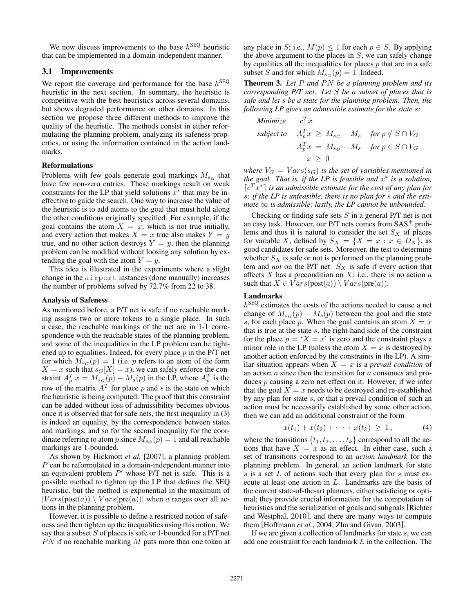We now discuss improvements to the base  $h^{\text{SEQ}}$  heuristic that can be implemented in a domain-independent manner.

# 3.1 Improvements

We report the coverage and performance for the base  $h^{\text{SEQ}}$ heuristic in the next section. In summary, the heuristic is competitive with the best heuristics across several domains, but shows degraded performance on other domains. In this section we propose three different methods to improve the quality of the heuristic. The methods consist in either reformulating the planning problem, analyzing its safeness properties, or using the information contained in the action landmarks.

#### Reformulations

Problems with few goals generate goal markings  $M_{s_G}$  that have few non-zero entries. These markings result on weak constraints for the LP that yield solutions  $x^*$  that may be ineffective to guide the search. One way to increase the value of the heuristic is to add atoms to the goal that must hold along the other conditions originally specified. For example, if the goal contains the atom  $X = x$ , which is not true initially, and every action that makes  $X = x$  true also makes  $Y = y$ true, and no other action destroys  $Y = y$ , then the planning problem can be modified without loosing any solution by extending the goal with the atom  $Y = y$ .

This idea is illustrated in the experiments where a slight change in the airport instances (done manually) increases the number of problems solved by 72.7% from 22 to 38.

#### Analysis of Safeness

As mentioned before, a P/T net is safe if no reachable marking assigns two or more tokens to a single place. In such a case, the reachable markings of the net are in 1-1 correspondence with the reachable states of the planning problem, and some of the inequalities in the LP problem can be tightened up to equalities. Indeed, for every place  $p$  in the P/T net for which  $M_{s_G}(p)=1$  (i.e. p refers to an atom of the form  $X = x$  such that  $s_G[X] = x$ ), we can safely enforce the constraint  $A_p^T x = M_{sG}(p) - M_s(p)$  in the LP, where  $A_p^T$  is the row of the matrix  $A<sup>T</sup>$  for place p and s is the state on which the heuristic is being computed. The proof that this constraint can be added without loss of admissibility becomes obvious once it is observed that for safe nets, the first inequality in (3) is indeed an equality, by the correspondence between states and markings, and so for the second inequality for the coordinate referring to atom p since  $M_{sG}(p)=1$  and all reachable markings are 1-bounded.

As shown by Hickmott *et al.* [2007], a planning problem P can be reformulated in a domain-independent manner into an equivalent problem  $P'$  whose  $P/T$  net is safe. This is a possible method to tighten up the LP that defines the SEQ heuristic, but the method is exponential in the maximum of  $|Vars(\text{post}(a)) \setminus Vars(\text{pre}(a))|$  when a ranges over all actions in the planning problem.

However, it is possible to define a restricted notion of safeness and then tighten up the inequalities using this notion. We say that a subset  $S$  of places is safe or 1-bounded for a P/T net  $PN$  if no reachable marking  $M$  puts more than one token at any place in S; i.e.,  $M(p) \leq 1$  for each  $p \in S$ . By applying the above argument to the places in  $S$ , we can safely change by equalities all the inequalities for places  $p$  that are in a safe subset S and for which  $M_{s_G}(p)=1$ . Indeed,

Theorem 3. Let P and PN be a planning problem and its *corresponding P/T net. Let* S *be a subset of places that is safe and let* s *be a state for the planning problem. Then, the following LP gives an admissible estimate for the state* s*:*

Minimize 
$$
c^T x
$$
  
\nsubject to  $A_p^T x \ge M_{s_G} - M_s$  for  $p \notin S \cap V_G$   
\n $A_p^T x = M_{s_G} - M_s$  for  $p \in S \cap V_G$   
\n $x \ge 0$ 

*where*  $V_G = Vars(s_G)$  *is the set of variables mentioned in the goal. That is, if the LP is feasible and* x<sup>∗</sup> *is a solution,*  $\lceil c^T x^* \rceil$  is an admissible estimate for the cost of any plan for s*; if the LP is unfeasible, there is no plan for* s *and the estimate*  $\infty$  *is admissible; lastly, the LP cannot be unbounded.* 

Checking or finding safe sets  $S$  in a general  $P/T$  net is not an easy task. However, our  $P/T$  nets comes from  $SAS^+$  problems and thus it is natural to consider the set  $S_X$  of places for variable X, defined by  $S_X = \{X = x : x \in D_X\}$ , as good candidates for safe sets. Moreover, the test to determine whether  $S_X$  is safe or not is performed on the planning problem and *not* on the P/T net:  $S_X$  is safe if every action that affects  $X$  has a precondition on  $X$ ; i.e., there is no action  $a$ such that  $X \in Vars(post(a)) \setminus Vars(pre(a)).$ 

## Landmarks

 $h<sup>SEQ</sup>$  estimates the costs of the actions needed to cause a net change of  $M_{s_G}(p) - M_s(p)$  between the goal and the state s, for each place p. When the goal contains an atom  $X = x$ that is true at the state s, the right-hand side of the constraint for the place  $p = 'X = x'$  is zero and the constraint plays a minor role in the LP (unless the atom  $X = x$  is destroyed by another action enforced by the constraints in the LP). A similar situation appears when  $X = x$  is a *prevail condition* of an action a since then the transition for a consumes and produces p causing a zero net effect on it. However, if we infer that the goal  $X = x$  needs to be destroyed and re-established by any plan for state s, or that a prevail condition of such an action must be necessarily established by some other action, then we can add an additional constraint of the form

$$
x(t_1) + x(t_2) + \cdots + x(t_k) \geq 1, \tag{4}
$$

where the transitions  $\{t_1, t_2, \ldots, t_k\}$  correspond to all the actions that have  $X = x$  as an effect. In either case, such a set of transitions correspond to an *action landmark* for the planning problem. In general, an action landmark for state s is a set  $L$  of actions such that every plan for s must execute at least one action in L. Landmarks are the basis of the current state-of-the-art planners, either satisficing or optimal; they provide crucial information for the computation of heuristics and the serialization of goals and subgoals [Richter and Westphal, 2010], and there are many ways to compute them [Hoffmann *et al.*, 2004; Zhu and Givan, 2003].

If we are given a collection of landmarks for state  $s$ , we can add one constraint for each landmark L in the collection. The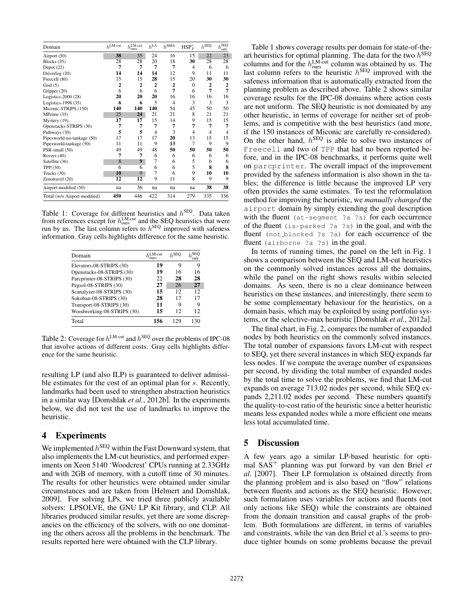| Domain                       | $h^{\text{LM-cut}}$ | $h_{\text{ours}}^{\text{LM-cut}}$ | $h^{\rm LA}$ | $h^{\text{M&S}}$ | $HSP_F^*$      | $h^{\mathrm{SEQ}}$ | $\overline{h_{\rm safe}^{\rm SEQ}}$ |
|------------------------------|---------------------|-----------------------------------|--------------|------------------|----------------|--------------------|-------------------------------------|
| Airport (50)                 | 38                  | 35                                | 24           | 16               | 15             | 22                 | 23                                  |
| Blocks (35)                  | 28                  | 28                                | 20           | 18               | 30             | 28                 | 28                                  |
| Depot $(22)$                 | 7                   | 7                                 | 7            | 7                | 4              | 6                  | 6                                   |
| Driverlog (20)               | 14                  | 14                                | 14           | 12               | 9              | 11                 | 11                                  |
| Freecell (80)                | 15                  | 15                                | 28           | 15               | 20             | 30                 | 30                                  |
| Grid $(5)$                   | 2                   | $\overline{2}$                    | $\mathbf{2}$ | $\overline{2}$   | $\mathbf{0}$   | 2                  | $\boldsymbol{2}$                    |
| Gripper (20)                 | 6                   | 6                                 | 6            | 7                | 6              | 7                  | 7                                   |
| Logistics-2000 (28)          | 20                  | 20                                | 20           | 16               | 16             | 16                 | 16                                  |
| Logistics-1998 (35)          | 6                   | 6                                 | 5            | $\overline{4}$   | 3              | 3                  | 3                                   |
| Miconic-STRIPS (150)         | 140                 | 140                               | 140          | 54               | 45             | 50                 | 50                                  |
| MPrime (35)                  | 25                  | 24                                | 21           | 21               | 8              | 21                 | 21                                  |
| Mystery (19)                 | 17                  | 17                                | 15           | 14               | 9              | 15                 | 15                                  |
| Openstacks-STRIPS (30)       | 7                   | 7                                 | 7            | 7                | 7              | 7                  | 7                                   |
| Pathways (30)                | 5                   | 5                                 | 4            | 3                | $\overline{4}$ | 4                  | $\overline{4}$                      |
| Pipesworld-no-tankage (50)   | 17                  | 17                                | 17           | 20               | 13             | 15                 | 15                                  |
| Pipesworld-tankage (50)      | 11                  | 11                                | 9            | 13               | 7              | 9                  | 9                                   |
| PSR-small (50)               | 49                  | 49                                | 48           | 50               | 50             | 50                 | 50                                  |
| Rovers (40)                  | 7                   | 7                                 | 6            | 6                | 6              | 6                  | 6                                   |
| Satellite (36)               | 8                   | 9                                 | 7            | 6                | 5              | 6                  | 6                                   |
| TPP (30)                     | 6                   | 6                                 | 6            | 6                | 5              | 8                  | 8                                   |
| Trucks (30)                  | 10                  | 9                                 | 7            | 6                | 9              | 10                 | 10                                  |
| Zenotravel (20)              | 12                  | 12                                | 9            | 11               | 8              | 9                  | 9                                   |
| Airport-modified (50)        | na                  | 36                                | na           | na               | na             | 38                 | 38                                  |
| Total (w/o Airport-modified) | 450                 | 446                               | 422          | 314              | 279            | 335                | 336                                 |

Table 1: Coverage for different heuristics and  $h^{\text{SEQ}}$ . Data taken from references except for  $h_{\text{ours}}^{\text{LM-cut}}$  and the SEQ heuristics that were run by us. The last column refers to  $h^{\text{SEQ}}$  improved with safeness information. Gray cells highlights difference for the same heuristic.

| Domain                     | ∟M-cut | 1. SEC |     |  |
|----------------------------|--------|--------|-----|--|
| Elevators-08-STRIPS (30)   | 19     | 9      | g   |  |
| Openstacks-08-STRIPS (30)  | 19     | 16     | 16  |  |
| Parcprinter-08-STRIPS (30) | 22     | 28     | 28  |  |
| Pegsol-08-STRIPS (30)      | 27     | 26     | 27  |  |
| Scanalyzer-08-STRIPS (30)  | 15     | 12     | 12. |  |
| Sokoban-08-STRIPS (30)     | 28     | 17     | 17  |  |
| Transport-08-STRIPS (30)   | 11     | 9      | О   |  |
| Woodworking-08-STRIPS (30) | 15     | 12     | 12  |  |
| Total                      | 156    |        | 130 |  |

Table 2: Coverage for  $h^{\text{LM-cut}}$  and  $h^{\text{SEQ}}$  over the problems of IPC-08 that involve actions of different costs. Gray cells highlights difference for the same heuristic.

resulting LP (and also ILP) is guaranteed to deliver admissible estimates for the cost of an optimal plan for s. Recently, landmarks had been used to strengthen abstraction heuristics in a similar way [Domshlak *et al.*, 2012b]. In the experiments below, we did not test the use of landmarks to improve the heuristic.

# 4 Experiments

We implemented  $h^{\text{SEQ}}$  within the Fast Downward system, that also implements the LM-cut heuristics, and performed experiments on Xeon 5140 'Woodcrest' CPUs running at 2.33GHz and with 2GB of memory, with a cutoff time of 30 minutes. The results for other heuristics were obtained under similar circumstances and are taken from [Helmert and Domshlak, 2009]. For solving LPs, we tried three publicly available solvers: LPSOLVE, the GNU LP Kit library, and CLP. All libraries produced similar results, yet there are some discrepancies on the efficiency of the solvers, with no one dominating the others across all the problems in the benchmark. The results reported here were obtained with the CLP library.

Table 1 shows coverage results per domain for state-of-theart heuristics for optimal planning. The data for the two  $h^{\text{SEQ}}$ columns and for the  $h_{\text{ours}}^{\text{LM-cut}}$  column was obtained by us. The last column refers to the heuristic  $h^{\text{SEQ}}$  improved with the safeness information that is automatically extracted from the planning problem as described above. Table 2 shows similar coverage results for the IPC-08 domains where action costs are not uniform. The SEQ heuristic is not dominated by any other heuristic, in terms of coverage for neither set of problems, and is competitive with the best heuristics (and more, if the 150 instances of Miconic are carefully re-considered). On the other hand,  $h^{\text{SEQ}}$  is able to solve two instances of Freecell and two of TPP that had no been reported before, and in the IPC-08 benchmarks, it performs quite well on parcprinter. The overall impact of the improvement provided by the safeness information is also shown in the tables; the difference is little because the improved LP very often provides the same estimates. To test the reformulation method for improving the heuristic, we *manually changed* the airport domain by simply extending the goal description with the fluent (at-segment ?a ?s) for each occurrence of the fluent (is-parked ?a ?s) in the goal, and with the fluent (not blocked ?s ?a) for each occurrence of the fluent (airborne ?a ?s) in the goal.

In terms of running times, the panel on the left in Fig. 1 shows a comparison between the SEQ and LM-cut heuristics on the commonly solved instances across all the domains, while the panel on the right shows results within selected domains. As seen, there is no a clear dominance between heuristics on these instances, and interestingly, there seem to be some complementary behaviour for the heuristics, on a domain basis, which may be exploited by using portfolio systems, or the selective-max heuristic [Domshlak *et al.*, 2012a].

The final chart, in Fig. 2, compares the number of expanded nodes by both heuristics on the commonly solved instances. The total number of expansions favors LM-cut with respect to SEQ, yet there several instances in which SEQ expands far less nodes. If we compute the average number of expansions per second, by dividing the total number of expanded nodes by the total time to solve the problems, we find that LM-cut expands on average 713.02 nodes per second, while SEQ expands 2,211.02 nodes per second. These numbers quantify the quality-to-cost ratio of the heuristic since a better heuristic means less expanded nodes while a more efficient one means less total accumulated time.

# 5 Discussion

A few years ago a similar LP-based heuristic for optimal SAS<sup>+</sup> planning was put forward by van den Briel *et al.* [2007]. Their LP formulation is obtained directly from the planning problem and is also based on "flow" relations between fluents and actions as the SEQ heuristic. However, such formulation uses variables for actions and fluents (not only actions like SEQ) while the constraints are obtained from the domain transition and causal graphs of the problem. Both formulations are different, in terms of variables and constraints, while the van den Briel et al.'s seems to produce tighter bounds on some problems because the prevail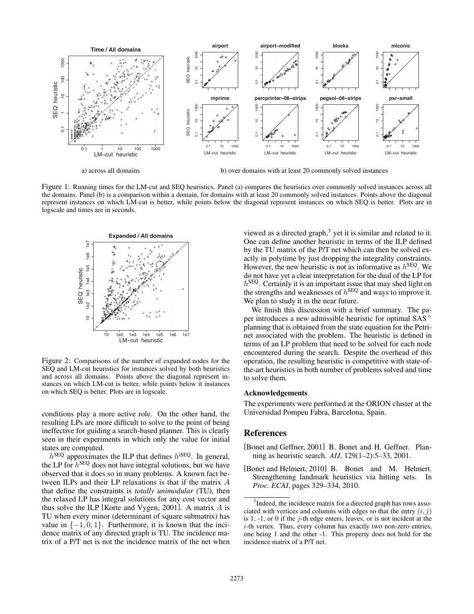

a) across all domains b) over domains with at least 20 commonly solved instances

Figure 1: Running times for the LM-cut and SEQ heuristics. Panel (a) compares the heuristics over commonly solved instances across all the domains. Panel (b) is a comparison within a domain, for domains with at least 20 commonly solved instances. Points above the diagonal represent instances on which LM-cut is better, while points below the diagonal represent instances on which SEQ is better. Plots are in logscale and times are in seconds.



Figure 2: Comparisons of the number of expanded nodes for the SEQ and LM-cut heuristics for instances solved by both heuristics and across all domains. Points above the diagonal represent instances on which LM-cut is better, while points below it instances on which SEQ is better. Plots are in logscale.

conditions play a more active role. On the other hand, the resulting LPs are more difficult to solve to the point of being ineffective for guiding a search-based planner. This is clearly seen in their experiments in which only the value for initial states are computed.

 $h^{\text{SEQ}}$  approximates the ILP that defines  $h^{\text{ISEQ}}$ . In general, the LP for  $h^{\text{SEQ}}$  does not have integral solutions, but we have observed that it does so in many problems. A known fact between ILPs and their LP relaxations is that if the matrix A that define the constraints is *totally unimodular* (TU), then the relaxed LP has integral solutions for any cost vector and thus solve the ILP [Korte and Vygen, 2001]. A matrix A is TU when every minor (determinant of square submatrix) has value in  $\{-1, 0, 1\}$ . Furthermore, it is known that the incidence matrix of any directed graph is TU. The incidence matrix of a P/T net is not the incidence matrix of the net when viewed as a directed graph, $3$  yet it is similar and related to it. One can define another heuristic in terms of the ILP defined by the TU matrix of the P/T net which can then be solved exactly in polytime by just dropping the integrality constraints. However, the new heuristic is not as informative as  $h^{\text{SEQ}}$ . We do not have yet a clear interpretation for the dual of the LP for  $h^{\text{SEQ}}$ . Certainly it is an important issue that may shed light on the strengths and weaknesses of  $h^{\text{SEQ}}$  and ways to improve it. We plan to study it in the near future.

We finish this discussion with a brief summary. The paper introduces a new admissible heuristic for optimal SAS<sup>+</sup> planning that is obtained from the state equation for the Petrinet associated with the problem. The heuristic is defined in terms of an LP problem that need to be solved for each node encountered during the search. Despite the overhead of this operation, the resulting heuristic is competitive with state-ofthe-art heuristics in both number of problems solved and time to solve them.

#### Acknowledgements

The experiments were performed at the ORION cluster at the Universidad Pompeu Fabra, Barcelona, Spain.

## References

- [Bonet and Geffner, 2001] B. Bonet and H. Geffner. Planning as heuristic search. *AIJ*, 129(1–2):5–33, 2001.
- [Bonet and Helmert, 2010] B. Bonet and M. Helmert. Strengthening landmark heuristics via hitting sets. In *Proc. ECAI*, pages 329–334, 2010.

<sup>&</sup>lt;sup>3</sup>Indeed, the incidence matrix for a directed graph has rows associated with vertices and columns with edges so that the entry  $(i, j)$ is  $1, -1$ , or 0 if the j-th edge enters, leaves, or is not incident at the i-th vertex. Thus, every column has exactly two non-zero entries, one being 1 and the other -1. This property does not hold for the incidence matrix of a P/T net.